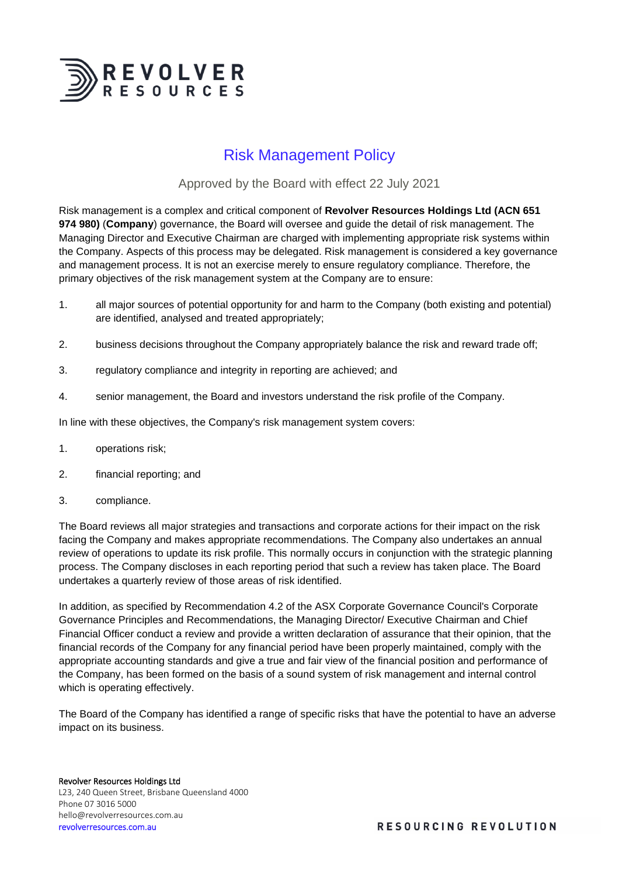

# Risk Management Policy

## Approved by the Board with effect 22 July 2021

Risk management is a complex and critical component of **Revolver Resources Holdings Ltd (ACN 651 974 980)** (**Company**) governance, the Board will oversee and guide the detail of risk management. The Managing Director and Executive Chairman are charged with implementing appropriate risk systems within the Company. Aspects of this process may be delegated. Risk management is considered a key governance and management process. It is not an exercise merely to ensure regulatory compliance. Therefore, the primary objectives of the risk management system at the Company are to ensure:

- 1. all major sources of potential opportunity for and harm to the Company (both existing and potential) are identified, analysed and treated appropriately;
- 2. business decisions throughout the Company appropriately balance the risk and reward trade off;
- 3. regulatory compliance and integrity in reporting are achieved; and
- 4. senior management, the Board and investors understand the risk profile of the Company.

In line with these objectives, the Company's risk management system covers:

- 1. operations risk;
- 2. financial reporting; and
- 3. compliance.

The Board reviews all major strategies and transactions and corporate actions for their impact on the risk facing the Company and makes appropriate recommendations. The Company also undertakes an annual review of operations to update its risk profile. This normally occurs in conjunction with the strategic planning process. The Company discloses in each reporting period that such a review has taken place. The Board undertakes a quarterly review of those areas of risk identified.

In addition, as specified by Recommendation 4.2 of the ASX Corporate Governance Council's Corporate Governance Principles and Recommendations, the Managing Director/ Executive Chairman and Chief Financial Officer conduct a review and provide a written declaration of assurance that their opinion, that the financial records of the Company for any financial period have been properly maintained, comply with the appropriate accounting standards and give a true and fair view of the financial position and performance of the Company, has been formed on the basis of a sound system of risk management and internal control which is operating effectively.

The Board of the Company has identified a range of specific risks that have the potential to have an adverse impact on its business.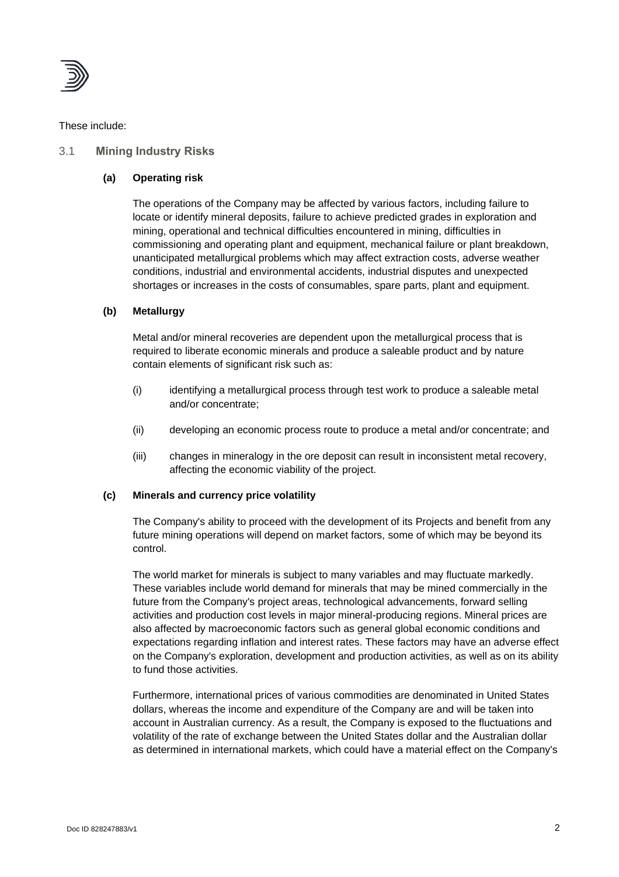

These include:

## 3.1 **Mining Industry Risks**

## **(a) Operating risk**

The operations of the Company may be affected by various factors, including failure to locate or identify mineral deposits, failure to achieve predicted grades in exploration and mining, operational and technical difficulties encountered in mining, difficulties in commissioning and operating plant and equipment, mechanical failure or plant breakdown, unanticipated metallurgical problems which may affect extraction costs, adverse weather conditions, industrial and environmental accidents, industrial disputes and unexpected shortages or increases in the costs of consumables, spare parts, plant and equipment.

## **(b) Metallurgy**

Metal and/or mineral recoveries are dependent upon the metallurgical process that is required to liberate economic minerals and produce a saleable product and by nature contain elements of significant risk such as:

- (i) identifying a metallurgical process through test work to produce a saleable metal and/or concentrate;
- (ii) developing an economic process route to produce a metal and/or concentrate; and
- (iii) changes in mineralogy in the ore deposit can result in inconsistent metal recovery, affecting the economic viability of the project.

#### **(c) Minerals and currency price volatility**

The Company's ability to proceed with the development of its Projects and benefit from any future mining operations will depend on market factors, some of which may be beyond its control.

The world market for minerals is subject to many variables and may fluctuate markedly. These variables include world demand for minerals that may be mined commercially in the future from the Company's project areas, technological advancements, forward selling activities and production cost levels in major mineral-producing regions. Mineral prices are also affected by macroeconomic factors such as general global economic conditions and expectations regarding inflation and interest rates. These factors may have an adverse effect on the Company's exploration, development and production activities, as well as on its ability to fund those activities.

Furthermore, international prices of various commodities are denominated in United States dollars, whereas the income and expenditure of the Company are and will be taken into account in Australian currency. As a result, the Company is exposed to the fluctuations and volatility of the rate of exchange between the United States dollar and the Australian dollar as determined in international markets, which could have a material effect on the Company's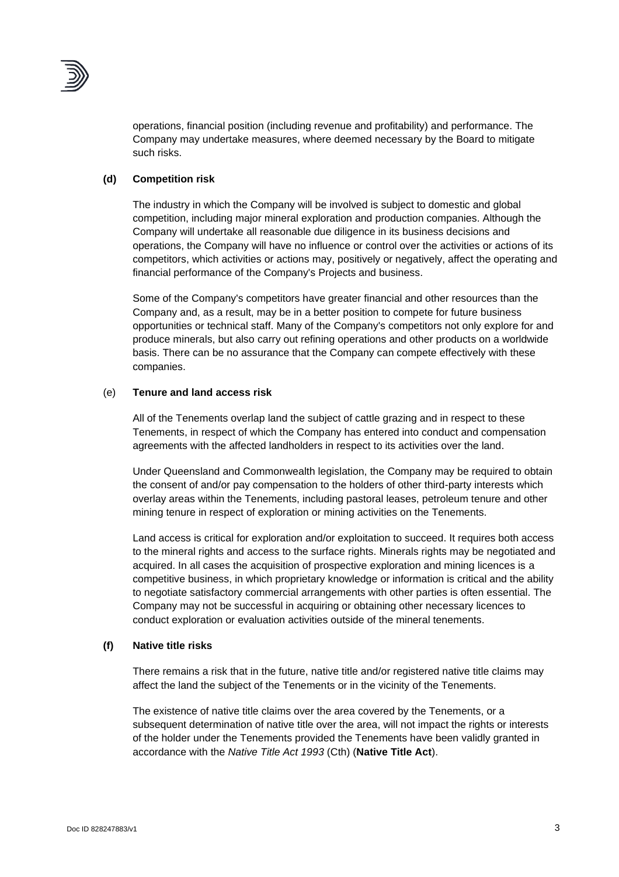

operations, financial position (including revenue and profitability) and performance. The Company may undertake measures, where deemed necessary by the Board to mitigate such risks.

## **(d) Competition risk**

The industry in which the Company will be involved is subject to domestic and global competition, including major mineral exploration and production companies. Although the Company will undertake all reasonable due diligence in its business decisions and operations, the Company will have no influence or control over the activities or actions of its competitors, which activities or actions may, positively or negatively, affect the operating and financial performance of the Company's Projects and business.

Some of the Company's competitors have greater financial and other resources than the Company and, as a result, may be in a better position to compete for future business opportunities or technical staff. Many of the Company's competitors not only explore for and produce minerals, but also carry out refining operations and other products on a worldwide basis. There can be no assurance that the Company can compete effectively with these companies.

## (e) **Tenure and land access risk**

All of the Tenements overlap land the subject of cattle grazing and in respect to these Tenements, in respect of which the Company has entered into conduct and compensation agreements with the affected landholders in respect to its activities over the land.

Under Queensland and Commonwealth legislation, the Company may be required to obtain the consent of and/or pay compensation to the holders of other third-party interests which overlay areas within the Tenements, including pastoral leases, petroleum tenure and other mining tenure in respect of exploration or mining activities on the Tenements.

Land access is critical for exploration and/or exploitation to succeed. It requires both access to the mineral rights and access to the surface rights. Minerals rights may be negotiated and acquired. In all cases the acquisition of prospective exploration and mining licences is a competitive business, in which proprietary knowledge or information is critical and the ability to negotiate satisfactory commercial arrangements with other parties is often essential. The Company may not be successful in acquiring or obtaining other necessary licences to conduct exploration or evaluation activities outside of the mineral tenements.

#### **(f) Native title risks**

There remains a risk that in the future, native title and/or registered native title claims may affect the land the subject of the Tenements or in the vicinity of the Tenements.

The existence of native title claims over the area covered by the Tenements, or a subsequent determination of native title over the area, will not impact the rights or interests of the holder under the Tenements provided the Tenements have been validly granted in accordance with the *Native Title Act 1993* (Cth) (**Native Title Act**).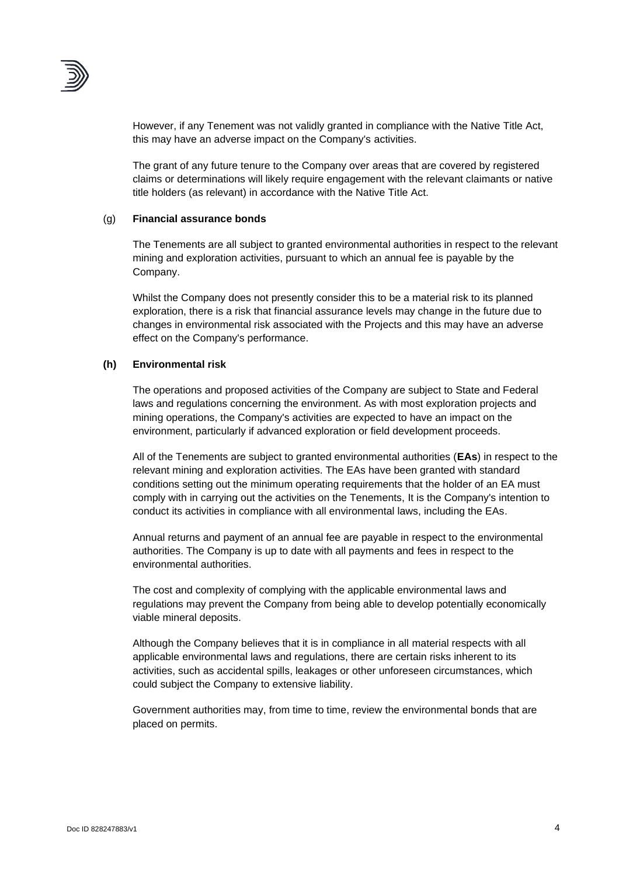

However, if any Tenement was not validly granted in compliance with the Native Title Act, this may have an adverse impact on the Company's activities.

The grant of any future tenure to the Company over areas that are covered by registered claims or determinations will likely require engagement with the relevant claimants or native title holders (as relevant) in accordance with the Native Title Act.

#### (g) **Financial assurance bonds**

The Tenements are all subject to granted environmental authorities in respect to the relevant mining and exploration activities, pursuant to which an annual fee is payable by the Company.

Whilst the Company does not presently consider this to be a material risk to its planned exploration, there is a risk that financial assurance levels may change in the future due to changes in environmental risk associated with the Projects and this may have an adverse effect on the Company's performance.

#### **(h) Environmental risk**

The operations and proposed activities of the Company are subject to State and Federal laws and regulations concerning the environment. As with most exploration projects and mining operations, the Company's activities are expected to have an impact on the environment, particularly if advanced exploration or field development proceeds.

All of the Tenements are subject to granted environmental authorities (**EAs**) in respect to the relevant mining and exploration activities. The EAs have been granted with standard conditions setting out the minimum operating requirements that the holder of an EA must comply with in carrying out the activities on the Tenements, It is the Company's intention to conduct its activities in compliance with all environmental laws, including the EAs.

Annual returns and payment of an annual fee are payable in respect to the environmental authorities. The Company is up to date with all payments and fees in respect to the environmental authorities.

The cost and complexity of complying with the applicable environmental laws and regulations may prevent the Company from being able to develop potentially economically viable mineral deposits.

Although the Company believes that it is in compliance in all material respects with all applicable environmental laws and regulations, there are certain risks inherent to its activities, such as accidental spills, leakages or other unforeseen circumstances, which could subject the Company to extensive liability.

Government authorities may, from time to time, review the environmental bonds that are placed on permits.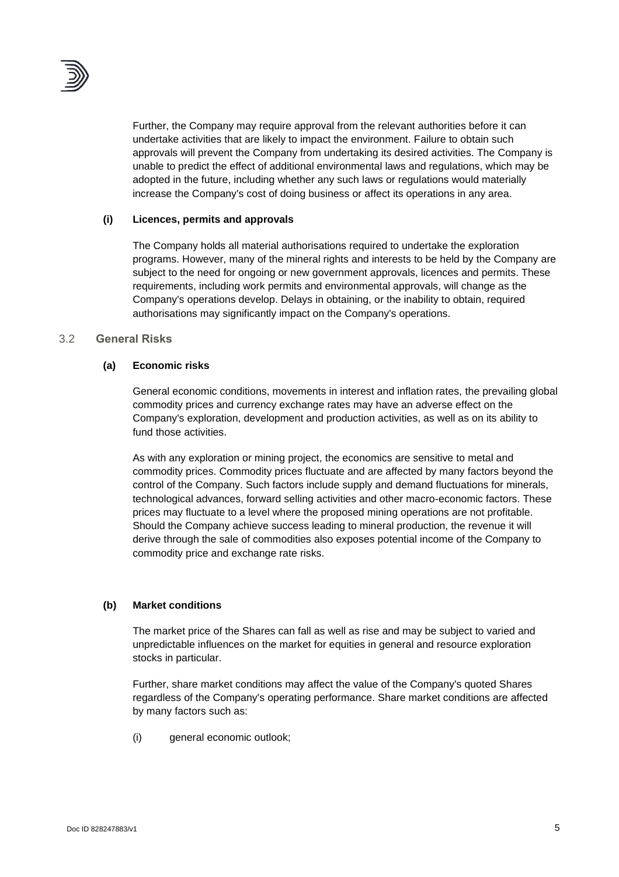

Further, the Company may require approval from the relevant authorities before it can undertake activities that are likely to impact the environment. Failure to obtain such approvals will prevent the Company from undertaking its desired activities. The Company is unable to predict the effect of additional environmental laws and regulations, which may be adopted in the future, including whether any such laws or regulations would materially increase the Company's cost of doing business or affect its operations in any area.

## **(i) Licences, permits and approvals**

The Company holds all material authorisations required to undertake the exploration programs. However, many of the mineral rights and interests to be held by the Company are subject to the need for ongoing or new government approvals, licences and permits. These requirements, including work permits and environmental approvals, will change as the Company's operations develop. Delays in obtaining, or the inability to obtain, required authorisations may significantly impact on the Company's operations.

## 3.2 **General Risks**

## **(a) Economic risks**

General economic conditions, movements in interest and inflation rates, the prevailing global commodity prices and currency exchange rates may have an adverse effect on the Company's exploration, development and production activities, as well as on its ability to fund those activities.

As with any exploration or mining project, the economics are sensitive to metal and commodity prices. Commodity prices fluctuate and are affected by many factors beyond the control of the Company. Such factors include supply and demand fluctuations for minerals, technological advances, forward selling activities and other macro-economic factors. These prices may fluctuate to a level where the proposed mining operations are not profitable. Should the Company achieve success leading to mineral production, the revenue it will derive through the sale of commodities also exposes potential income of the Company to commodity price and exchange rate risks.

## **(b) Market conditions**

The market price of the Shares can fall as well as rise and may be subject to varied and unpredictable influences on the market for equities in general and resource exploration stocks in particular.

Further, share market conditions may affect the value of the Company's quoted Shares regardless of the Company's operating performance. Share market conditions are affected by many factors such as:

(i) general economic outlook;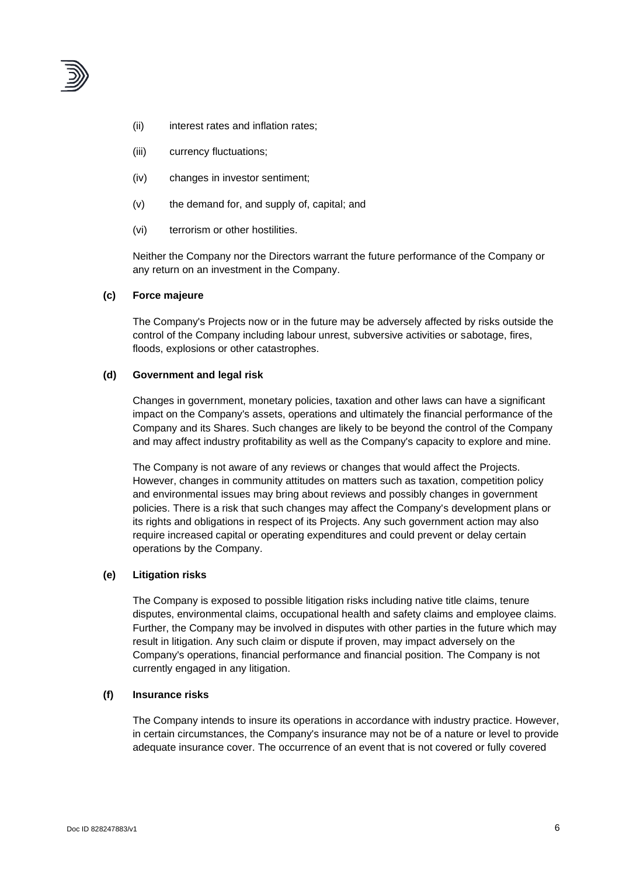

- (ii) interest rates and inflation rates;
- (iii) currency fluctuations;
- (iv) changes in investor sentiment;
- (v) the demand for, and supply of, capital; and
- (vi) terrorism or other hostilities.

Neither the Company nor the Directors warrant the future performance of the Company or any return on an investment in the Company.

#### **(c) Force majeure**

The Company's Projects now or in the future may be adversely affected by risks outside the control of the Company including labour unrest, subversive activities or sabotage, fires, floods, explosions or other catastrophes.

#### **(d) Government and legal risk**

Changes in government, monetary policies, taxation and other laws can have a significant impact on the Company's assets, operations and ultimately the financial performance of the Company and its Shares. Such changes are likely to be beyond the control of the Company and may affect industry profitability as well as the Company's capacity to explore and mine.

The Company is not aware of any reviews or changes that would affect the Projects. However, changes in community attitudes on matters such as taxation, competition policy and environmental issues may bring about reviews and possibly changes in government policies. There is a risk that such changes may affect the Company's development plans or its rights and obligations in respect of its Projects. Any such government action may also require increased capital or operating expenditures and could prevent or delay certain operations by the Company.

#### **(e) Litigation risks**

The Company is exposed to possible litigation risks including native title claims, tenure disputes, environmental claims, occupational health and safety claims and employee claims. Further, the Company may be involved in disputes with other parties in the future which may result in litigation. Any such claim or dispute if proven, may impact adversely on the Company's operations, financial performance and financial position. The Company is not currently engaged in any litigation.

#### **(f) Insurance risks**

The Company intends to insure its operations in accordance with industry practice. However, in certain circumstances, the Company's insurance may not be of a nature or level to provide adequate insurance cover. The occurrence of an event that is not covered or fully covered